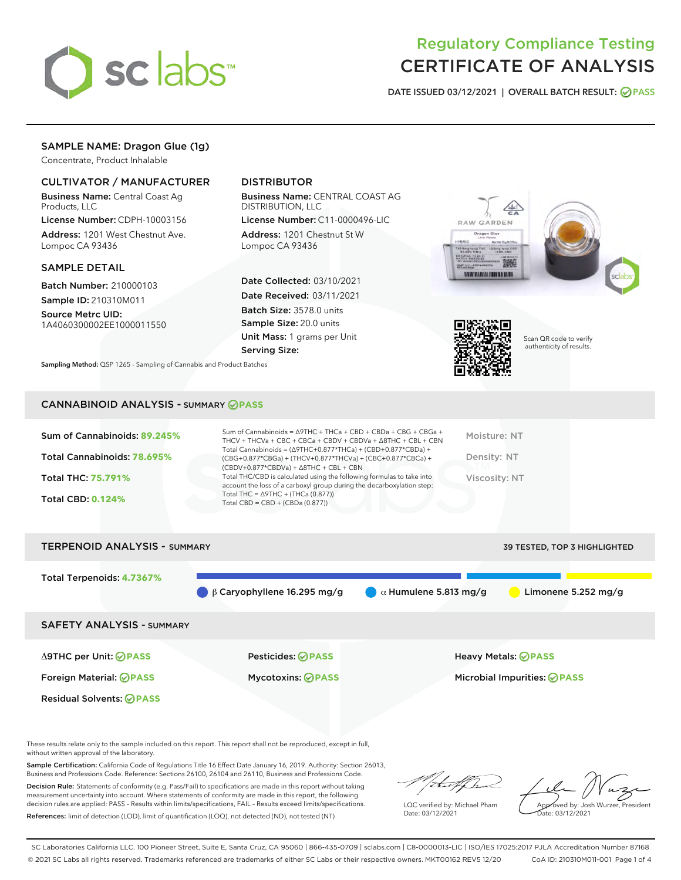

# Regulatory Compliance Testing CERTIFICATE OF ANALYSIS

DATE ISSUED 03/12/2021 | OVERALL BATCH RESULT: @ PASS

# SAMPLE NAME: Dragon Glue (1g)

Concentrate, Product Inhalable

## CULTIVATOR / MANUFACTURER

Business Name: Central Coast Ag Products, LLC

License Number: CDPH-10003156 Address: 1201 West Chestnut Ave. Lompoc CA 93436

## SAMPLE DETAIL

Batch Number: 210000103 Sample ID: 210310M011

Source Metrc UID: 1A4060300002EE1000011550

## DISTRIBUTOR

Business Name: CENTRAL COAST AG DISTRIBUTION, LLC

License Number: C11-0000496-LIC Address: 1201 Chestnut St W Lompoc CA 93436

Date Collected: 03/10/2021 Date Received: 03/11/2021 Batch Size: 3578.0 units Sample Size: 20.0 units Unit Mass: 1 grams per Unit Serving Size:





Scan QR code to verify authenticity of results.

Sampling Method: QSP 1265 - Sampling of Cannabis and Product Batches

## CANNABINOID ANALYSIS - SUMMARY **PASS**

| Sum of Cannabinoids: 89.245% | Sum of Cannabinoids = $\triangle$ 9THC + THCa + CBD + CBDa + CBG + CBGa +<br>THCV + THCVa + CBC + CBCa + CBDV + CBDVa + Δ8THC + CBL + CBN                                            | Moisture: NT  |
|------------------------------|--------------------------------------------------------------------------------------------------------------------------------------------------------------------------------------|---------------|
| Total Cannabinoids: 78.695%  | Total Cannabinoids = $(\Delta$ 9THC+0.877*THCa) + (CBD+0.877*CBDa) +<br>(CBG+0.877*CBGa) + (THCV+0.877*THCVa) + (CBC+0.877*CBCa) +<br>$(CBDV+0.877*CBDVa) + \Delta 8THC + CBL + CBN$ | Density: NT   |
| Total THC: 75.791%           | Total THC/CBD is calculated using the following formulas to take into<br>account the loss of a carboxyl group during the decarboxylation step:                                       | Viscosity: NT |
| <b>Total CBD: 0.124%</b>     | Total THC = $\triangle$ 9THC + (THCa (0.877))<br>Total CBD = $CBD + (CBDa (0.877))$                                                                                                  |               |

| <b>TERPENOID ANALYSIS - SUMMARY</b> |                                   |                              | 39 TESTED, TOP 3 HIGHLIGHTED |
|-------------------------------------|-----------------------------------|------------------------------|------------------------------|
| Total Terpenoids: 4.7367%           | $\beta$ Caryophyllene 16.295 mg/g | $\alpha$ Humulene 5.813 mg/g | Limonene 5.252 mg/g          |
| <b>SAFETY ANALYSIS - SUMMARY</b>    |                                   |                              |                              |
| ∆9THC per Unit: ⊘PASS               | Pesticides: <b>⊘</b> PASS         |                              | Heavy Metals: <b>OPASS</b>   |
| Foreign Material: <b>⊘ PASS</b>     | <b>Mycotoxins: ⊘PASS</b>          |                              | Microbial Impurities: @PASS  |
| <b>Residual Solvents: ⊘ PASS</b>    |                                   |                              |                              |

These results relate only to the sample included on this report. This report shall not be reproduced, except in full, without written approval of the laboratory.

Sample Certification: California Code of Regulations Title 16 Effect Date January 16, 2019. Authority: Section 26013, Business and Professions Code. Reference: Sections 26100, 26104 and 26110, Business and Professions Code.

Decision Rule: Statements of conformity (e.g. Pass/Fail) to specifications are made in this report without taking measurement uncertainty into account. Where statements of conformity are made in this report, the following decision rules are applied: PASS – Results within limits/specifications, FAIL – Results exceed limits/specifications. References: limit of detection (LOD), limit of quantification (LOQ), not detected (ND), not tested (NT)

that f h

LQC verified by: Michael Pham Date: 03/12/2021

Approved by: Josh Wurzer, President Date: 03/12/2021

SC Laboratories California LLC. 100 Pioneer Street, Suite E, Santa Cruz, CA 95060 | 866-435-0709 | sclabs.com | C8-0000013-LIC | ISO/IES 17025:2017 PJLA Accreditation Number 87168 © 2021 SC Labs all rights reserved. Trademarks referenced are trademarks of either SC Labs or their respective owners. MKT00162 REV5 12/20 CoA ID: 210310M011-001 Page 1 of 4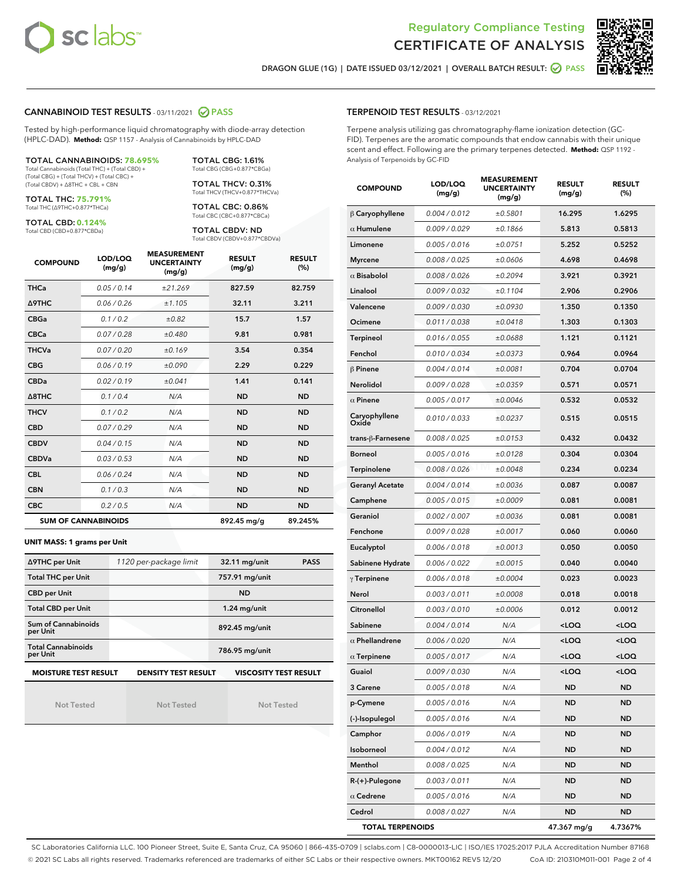



DRAGON GLUE (1G) | DATE ISSUED 03/12/2021 | OVERALL BATCH RESULT: ☑ PASS

## CANNABINOID TEST RESULTS - 03/11/2021 2 PASS

Tested by high-performance liquid chromatography with diode-array detection (HPLC-DAD). **Method:** QSP 1157 - Analysis of Cannabinoids by HPLC-DAD

TOTAL CANNABINOIDS: **78.695%** Total Cannabinoids (Total THC) + (Total CBD) + (Total CBG) + (Total THCV) + (Total CBC) +

(Total CBDV) + ∆8THC + CBL + CBN TOTAL THC: **75.791%**

Total THC (∆9THC+0.877\*THCa)

TOTAL CBD: **0.124%**

Total CBD (CBD+0.877\*CBDa)

TOTAL CBG: 1.61% Total CBG (CBG+0.877\*CBGa) TOTAL THCV: 0.31%

Total THCV (THCV+0.877\*THCVa)

TOTAL CBC: 0.86% Total CBC (CBC+0.877\*CBCa)

TOTAL CBDV: ND Total CBDV (CBDV+0.877\*CBDVa)

| <b>COMPOUND</b>  | LOD/LOQ<br>(mg/g)          | <b>MEASUREMENT</b><br><b>UNCERTAINTY</b><br>(mg/g) | <b>RESULT</b><br>(mg/g) | <b>RESULT</b><br>(%) |
|------------------|----------------------------|----------------------------------------------------|-------------------------|----------------------|
| <b>THCa</b>      | 0.05/0.14                  | ±21.269                                            | 827.59                  | 82.759               |
| <b>A9THC</b>     | 0.06 / 0.26                | ±1.105                                             | 32.11                   | 3.211                |
| <b>CBGa</b>      | 0.1/0.2                    | ±0.82                                              | 15.7                    | 1.57                 |
| <b>CBCa</b>      | 0.07/0.28                  | ±0.480                                             | 9.81                    | 0.981                |
| <b>THCVa</b>     | 0.07/0.20                  | ±0.169                                             | 3.54                    | 0.354                |
| <b>CBG</b>       | 0.06/0.19                  | ±0.090                                             | 2.29                    | 0.229                |
| <b>CBDa</b>      | 0.02/0.19                  | ±0.041                                             | 1.41                    | 0.141                |
| $\triangle$ 8THC | 0.1 / 0.4                  | N/A                                                | <b>ND</b>               | <b>ND</b>            |
| <b>THCV</b>      | 0.1/0.2                    | N/A                                                | <b>ND</b>               | <b>ND</b>            |
| <b>CBD</b>       | 0.07/0.29                  | N/A                                                | <b>ND</b>               | <b>ND</b>            |
| <b>CBDV</b>      | 0.04 / 0.15                | N/A                                                | <b>ND</b>               | <b>ND</b>            |
| <b>CBDVa</b>     | 0.03/0.53                  | N/A                                                | <b>ND</b>               | <b>ND</b>            |
| <b>CBL</b>       | 0.06 / 0.24                | N/A                                                | <b>ND</b>               | <b>ND</b>            |
| <b>CBN</b>       | 0.1/0.3                    | N/A                                                | <b>ND</b>               | <b>ND</b>            |
| <b>CBC</b>       | 0.2 / 0.5                  | N/A                                                | <b>ND</b>               | <b>ND</b>            |
|                  | <b>SUM OF CANNABINOIDS</b> |                                                    | 892.45 mg/g             | 89.245%              |

#### **UNIT MASS: 1 grams per Unit**

| ∆9THC per Unit                        | 1120 per-package limit     | 32.11 mg/unit<br><b>PASS</b> |  |
|---------------------------------------|----------------------------|------------------------------|--|
| <b>Total THC per Unit</b>             |                            | 757.91 mg/unit               |  |
| <b>CBD per Unit</b>                   |                            | <b>ND</b>                    |  |
| <b>Total CBD per Unit</b>             |                            | $1.24$ mg/unit               |  |
| Sum of Cannabinoids<br>per Unit       |                            | 892.45 mg/unit               |  |
| <b>Total Cannabinoids</b><br>per Unit |                            | 786.95 mg/unit               |  |
| <b>MOISTURE TEST RESULT</b>           | <b>DENSITY TEST RESULT</b> | <b>VISCOSITY TEST RESULT</b> |  |

Not Tested

Not Tested

Not Tested

#### TERPENOID TEST RESULTS - 03/12/2021

Terpene analysis utilizing gas chromatography-flame ionization detection (GC-FID). Terpenes are the aromatic compounds that endow cannabis with their unique scent and effect. Following are the primary terpenes detected. **Method:** QSP 1192 - Analysis of Terpenoids by GC-FID

| <b>COMPOUND</b>         | LOD/LOQ<br>(mg/g) | <b>MEASUREMENT</b><br><b>UNCERTAINTY</b><br>(mg/g) | <b>RESULT</b><br>(mg/g)                         | <b>RESULT</b><br>(%) |
|-------------------------|-------------------|----------------------------------------------------|-------------------------------------------------|----------------------|
| $\beta$ Caryophyllene   | 0.004 / 0.012     | ±0.5801                                            | 16.295                                          | 1.6295               |
| $\alpha$ Humulene       | 0.009/0.029       | ±0.1866                                            | 5.813                                           | 0.5813               |
| Limonene                | 0.005 / 0.016     | ±0.0751                                            | 5.252                                           | 0.5252               |
| <b>Myrcene</b>          | 0.008 / 0.025     | ±0.0606                                            | 4.698                                           | 0.4698               |
| $\alpha$ Bisabolol      | 0.008 / 0.026     | ±0.2094                                            | 3.921                                           | 0.3921               |
| Linalool                | 0.009 / 0.032     | ±0.1104                                            | 2.906                                           | 0.2906               |
| Valencene               | 0.009 / 0.030     | ±0.0930                                            | 1.350                                           | 0.1350               |
| Ocimene                 | 0.011 / 0.038     | ±0.0418                                            | 1.303                                           | 0.1303               |
| <b>Terpineol</b>        | 0.016 / 0.055     | ±0.0688                                            | 1.121                                           | 0.1121               |
| Fenchol                 | 0.010 / 0.034     | ±0.0373                                            | 0.964                                           | 0.0964               |
| β Pinene                | 0.004 / 0.014     | ±0.0081                                            | 0.704                                           | 0.0704               |
| <b>Nerolidol</b>        | 0.009 / 0.028     | ±0.0359                                            | 0.571                                           | 0.0571               |
| $\alpha$ Pinene         | 0.005 / 0.017     | ±0.0046                                            | 0.532                                           | 0.0532               |
| Caryophyllene<br>Oxide  | 0.010 / 0.033     | ±0.0237                                            | 0.515                                           | 0.0515               |
| trans-ß-Farnesene       | 0.008 / 0.025     | ±0.0153                                            | 0.432                                           | 0.0432               |
| <b>Borneol</b>          | 0.005 / 0.016     | ±0.0128                                            | 0.304                                           | 0.0304               |
| Terpinolene             | 0.008 / 0.026     | ±0.0048                                            | 0.234                                           | 0.0234               |
| <b>Geranyl Acetate</b>  | 0.004 / 0.014     | ±0.0036                                            | 0.087                                           | 0.0087               |
| Camphene                | 0.005 / 0.015     | ±0.0009                                            | 0.081                                           | 0.0081               |
| Geraniol                | 0.002 / 0.007     | ±0.0036                                            | 0.081                                           | 0.0081               |
| Fenchone                | 0.009 / 0.028     | ±0.0017                                            | 0.060                                           | 0.0060               |
| Eucalyptol              | 0.006 / 0.018     | ±0.0013                                            | 0.050                                           | 0.0050               |
| Sabinene Hydrate        | 0.006 / 0.022     | ±0.0015                                            | 0.040                                           | 0.0040               |
| $\gamma$ Terpinene      | 0.006 / 0.018     | ±0.0004                                            | 0.023                                           | 0.0023               |
| Nerol                   | 0.003 / 0.011     | ±0.0008                                            | 0.018                                           | 0.0018               |
| Citronellol             | 0.003/0.010       | ±0.0006                                            | 0.012                                           | 0.0012               |
| Sabinene                | 0.004 / 0.014     | N/A                                                | <loq< th=""><th><loq< th=""></loq<></th></loq<> | <loq< th=""></loq<>  |
| $\alpha$ Phellandrene   | 0.006 / 0.020     | N/A                                                | <loq< th=""><th><loq< th=""></loq<></th></loq<> | <loq< th=""></loq<>  |
| $\alpha$ Terpinene      | 0.005 / 0.017     | N/A                                                | <loq< th=""><th><loq< th=""></loq<></th></loq<> | <loq< th=""></loq<>  |
| Guaiol                  | 0.009 / 0.030     | N/A                                                | <loq< th=""><th><loq< th=""></loq<></th></loq<> | <loq< th=""></loq<>  |
| 3 Carene                | 0.005 / 0.018     | N/A                                                | <b>ND</b>                                       | ND                   |
| p-Cymene                | 0.005 / 0.016     | N/A                                                | ND                                              | ND                   |
| (-)-Isopulegol          | 0.005 / 0.016     | N/A                                                | <b>ND</b>                                       | ND                   |
| Camphor                 | 0.006 / 0.019     | N/A                                                | ND                                              | ND                   |
| Isoborneol              | 0.004 / 0.012     | N/A                                                | ND                                              | ND                   |
| Menthol                 | 0.008 / 0.025     | N/A                                                | ND                                              | ND                   |
| R-(+)-Pulegone          | 0.003 / 0.011     | N/A                                                | ND                                              | ND                   |
| $\alpha$ Cedrene        | 0.005 / 0.016     | N/A                                                | ND                                              | ND                   |
| Cedrol                  | 0.008 / 0.027     | N/A                                                | ND                                              | ND                   |
| <b>TOTAL TERPENOIDS</b> |                   |                                                    | 47.367 mg/g                                     | 4.7367%              |

SC Laboratories California LLC. 100 Pioneer Street, Suite E, Santa Cruz, CA 95060 | 866-435-0709 | sclabs.com | C8-0000013-LIC | ISO/IES 17025:2017 PJLA Accreditation Number 87168 © 2021 SC Labs all rights reserved. Trademarks referenced are trademarks of either SC Labs or their respective owners. MKT00162 REV5 12/20 CoA ID: 210310M011-001 Page 2 of 4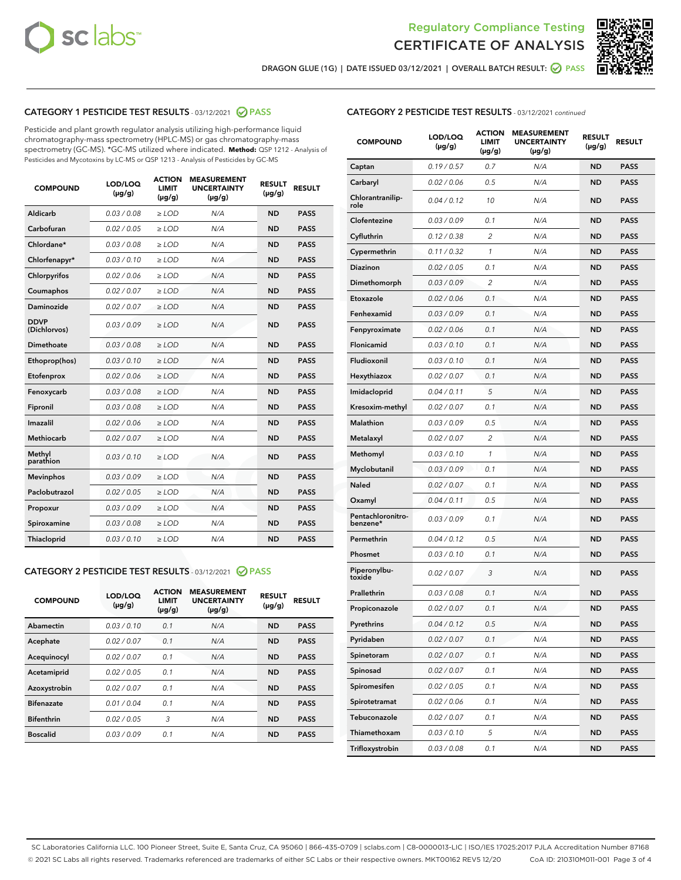



DRAGON GLUE (1G) | DATE ISSUED 03/12/2021 | OVERALL BATCH RESULT: ● PASS

## CATEGORY 1 PESTICIDE TEST RESULTS - 03/12/2021 2 PASS

Pesticide and plant growth regulator analysis utilizing high-performance liquid chromatography-mass spectrometry (HPLC-MS) or gas chromatography-mass spectrometry (GC-MS). \*GC-MS utilized where indicated. **Method:** QSP 1212 - Analysis of Pesticides and Mycotoxins by LC-MS or QSP 1213 - Analysis of Pesticides by GC-MS

| <b>COMPOUND</b>             | LOD/LOQ<br>$(\mu g/g)$ | <b>ACTION</b><br><b>LIMIT</b><br>$(\mu q/q)$ | <b>MEASUREMENT</b><br><b>UNCERTAINTY</b><br>$(\mu g/g)$ | <b>RESULT</b><br>$(\mu g/g)$ | <b>RESULT</b> |
|-----------------------------|------------------------|----------------------------------------------|---------------------------------------------------------|------------------------------|---------------|
| Aldicarb                    | 0.03 / 0.08            | $\ge$ LOD                                    | N/A                                                     | <b>ND</b>                    | <b>PASS</b>   |
| Carbofuran                  | 0.02 / 0.05            | $\ge$ LOD                                    | N/A                                                     | <b>ND</b>                    | <b>PASS</b>   |
| Chlordane*                  | 0.03 / 0.08            | $\ge$ LOD                                    | N/A                                                     | <b>ND</b>                    | <b>PASS</b>   |
| Chlorfenapyr*               | 0.03/0.10              | $\ge$ LOD                                    | N/A                                                     | <b>ND</b>                    | <b>PASS</b>   |
| Chlorpyrifos                | 0.02 / 0.06            | $\ge$ LOD                                    | N/A                                                     | <b>ND</b>                    | <b>PASS</b>   |
| Coumaphos                   | 0.02 / 0.07            | $\ge$ LOD                                    | N/A                                                     | <b>ND</b>                    | <b>PASS</b>   |
| Daminozide                  | 0.02 / 0.07            | $\ge$ LOD                                    | N/A                                                     | <b>ND</b>                    | <b>PASS</b>   |
| <b>DDVP</b><br>(Dichlorvos) | 0.03/0.09              | $>$ LOD                                      | N/A                                                     | <b>ND</b>                    | <b>PASS</b>   |
| Dimethoate                  | 0.03 / 0.08            | $\ge$ LOD                                    | N/A                                                     | <b>ND</b>                    | <b>PASS</b>   |
| Ethoprop(hos)               | 0.03/0.10              | $\ge$ LOD                                    | N/A                                                     | <b>ND</b>                    | <b>PASS</b>   |
| Etofenprox                  | 0.02/0.06              | $>$ LOD                                      | N/A                                                     | <b>ND</b>                    | <b>PASS</b>   |
| Fenoxycarb                  | 0.03 / 0.08            | $\ge$ LOD                                    | N/A                                                     | <b>ND</b>                    | <b>PASS</b>   |
| Fipronil                    | 0.03/0.08              | $>$ LOD                                      | N/A                                                     | <b>ND</b>                    | <b>PASS</b>   |
| Imazalil                    | 0.02 / 0.06            | $\ge$ LOD                                    | N/A                                                     | <b>ND</b>                    | <b>PASS</b>   |
| Methiocarb                  | 0.02 / 0.07            | $\ge$ LOD                                    | N/A                                                     | <b>ND</b>                    | <b>PASS</b>   |
| Methyl<br>parathion         | 0.03/0.10              | $>$ LOD                                      | N/A                                                     | <b>ND</b>                    | <b>PASS</b>   |
| <b>Mevinphos</b>            | 0.03/0.09              | $>$ LOD                                      | N/A                                                     | <b>ND</b>                    | <b>PASS</b>   |
| Paclobutrazol               | 0.02 / 0.05            | $\ge$ LOD                                    | N/A                                                     | <b>ND</b>                    | <b>PASS</b>   |
| Propoxur                    | 0.03 / 0.09            | $\ge$ LOD                                    | N/A                                                     | <b>ND</b>                    | <b>PASS</b>   |
| Spiroxamine                 | 0.03 / 0.08            | $\ge$ LOD                                    | N/A                                                     | <b>ND</b>                    | <b>PASS</b>   |
| Thiacloprid                 | 0.03/0.10              | $\ge$ LOD                                    | N/A                                                     | <b>ND</b>                    | <b>PASS</b>   |

#### CATEGORY 2 PESTICIDE TEST RESULTS - 03/12/2021 @ PASS

| <b>COMPOUND</b>   | LOD/LOQ<br>$(\mu g/g)$ | <b>ACTION</b><br><b>LIMIT</b><br>$(\mu g/g)$ | <b>MEASUREMENT</b><br><b>UNCERTAINTY</b><br>$(\mu g/g)$ | <b>RESULT</b><br>$(\mu g/g)$ | <b>RESULT</b> |
|-------------------|------------------------|----------------------------------------------|---------------------------------------------------------|------------------------------|---------------|
| Abamectin         | 0.03/0.10              | 0.1                                          | N/A                                                     | <b>ND</b>                    | <b>PASS</b>   |
| Acephate          | 0.02/0.07              | 0.1                                          | N/A                                                     | <b>ND</b>                    | <b>PASS</b>   |
| Acequinocyl       | 0.02/0.07              | 0.1                                          | N/A                                                     | <b>ND</b>                    | <b>PASS</b>   |
| Acetamiprid       | 0.02/0.05              | 0.1                                          | N/A                                                     | <b>ND</b>                    | <b>PASS</b>   |
| Azoxystrobin      | 0.02/0.07              | 0.1                                          | N/A                                                     | <b>ND</b>                    | <b>PASS</b>   |
| <b>Bifenazate</b> | 0.01/0.04              | 0.1                                          | N/A                                                     | <b>ND</b>                    | <b>PASS</b>   |
| <b>Bifenthrin</b> | 0.02/0.05              | 3                                            | N/A                                                     | <b>ND</b>                    | <b>PASS</b>   |
| <b>Boscalid</b>   | 0.03/0.09              | 0.1                                          | N/A                                                     | <b>ND</b>                    | <b>PASS</b>   |

|--|

| <b>COMPOUND</b>               | LOD/LOQ<br>(µg/g) | <b>ACTION</b><br><b>LIMIT</b><br>$(\mu g/g)$ | <b>MEASUREMENT</b><br><b>UNCERTAINTY</b><br>(µg/g) | <b>RESULT</b><br>(µg/g) | <b>RESULT</b> |
|-------------------------------|-------------------|----------------------------------------------|----------------------------------------------------|-------------------------|---------------|
| Captan                        | 0.19/0.57         | 0.7                                          | N/A                                                | <b>ND</b>               | <b>PASS</b>   |
| Carbaryl                      | 0.02 / 0.06       | 0.5                                          | N/A                                                | <b>ND</b>               | <b>PASS</b>   |
| Chlorantranilip-<br>role      | 0.04 / 0.12       | 10                                           | N/A                                                | ND                      | <b>PASS</b>   |
| Clofentezine                  | 0.03 / 0.09       | 0.1                                          | N/A                                                | <b>ND</b>               | <b>PASS</b>   |
| Cyfluthrin                    | 0.12 / 0.38       | 2                                            | N/A                                                | <b>ND</b>               | <b>PASS</b>   |
| Cypermethrin                  | 0.11 / 0.32       | 1                                            | N/A                                                | <b>ND</b>               | <b>PASS</b>   |
| Diazinon                      | 0.02 / 0.05       | 0.1                                          | N/A                                                | ND                      | <b>PASS</b>   |
| Dimethomorph                  | 0.03 / 0.09       | 2                                            | N/A                                                | <b>ND</b>               | <b>PASS</b>   |
| Etoxazole                     | 0.02 / 0.06       | 0.1                                          | N/A                                                | <b>ND</b>               | <b>PASS</b>   |
| Fenhexamid                    | 0.03 / 0.09       | 0.1                                          | N/A                                                | <b>ND</b>               | <b>PASS</b>   |
| Fenpyroximate                 | 0.02 / 0.06       | 0.1                                          | N/A                                                | <b>ND</b>               | <b>PASS</b>   |
| Flonicamid                    | 0.03 / 0.10       | 0.1                                          | N/A                                                | <b>ND</b>               | <b>PASS</b>   |
| Fludioxonil                   | 0.03 / 0.10       | 0.1                                          | N/A                                                | ND                      | <b>PASS</b>   |
| Hexythiazox                   | 0.02 / 0.07       | 0.1                                          | N/A                                                | <b>ND</b>               | <b>PASS</b>   |
| Imidacloprid                  | 0.04 / 0.11       | 5                                            | N/A                                                | <b>ND</b>               | <b>PASS</b>   |
| Kresoxim-methyl               | 0.02 / 0.07       | 0.1                                          | N/A                                                | <b>ND</b>               | <b>PASS</b>   |
| Malathion                     | 0.03/0.09         | 0.5                                          | N/A                                                | <b>ND</b>               | <b>PASS</b>   |
| Metalaxyl                     | 0.02 / 0.07       | 2                                            | N/A                                                | <b>ND</b>               | <b>PASS</b>   |
| Methomyl                      | 0.03 / 0.10       | 1                                            | N/A                                                | ND                      | <b>PASS</b>   |
| Myclobutanil                  | 0.03 / 0.09       | 0.1                                          | N/A                                                | <b>ND</b>               | <b>PASS</b>   |
| Naled                         | 0.02 / 0.07       | 0.1                                          | N/A                                                | <b>ND</b>               | <b>PASS</b>   |
| Oxamyl                        | 0.04 / 0.11       | 0.5                                          | N/A                                                | ND                      | <b>PASS</b>   |
| Pentachloronitro-<br>benzene* | 0.03 / 0.09       | 0.1                                          | N/A                                                | <b>ND</b>               | <b>PASS</b>   |
| Permethrin                    | 0.04 / 0.12       | 0.5                                          | N/A                                                | <b>ND</b>               | <b>PASS</b>   |
| Phosmet                       | 0.03 / 0.10       | 0.1                                          | N/A                                                | <b>ND</b>               | <b>PASS</b>   |
| Piperonylbu-<br>toxide        | 0.02 / 0.07       | 3                                            | N/A                                                | <b>ND</b>               | <b>PASS</b>   |
| Prallethrin                   | 0.03 / 0.08       | 0.1                                          | N/A                                                | <b>ND</b>               | <b>PASS</b>   |
| Propiconazole                 | 0.02 / 0.07       | 0.1                                          | N/A                                                | <b>ND</b>               | <b>PASS</b>   |
| Pyrethrins                    | 0.04 / 0.12       | 0.5                                          | N/A                                                | ND                      | PASS          |
| Pyridaben                     | 0.02 / 0.07       | 0.1                                          | N/A                                                | ND                      | PASS          |
| Spinetoram                    | 0.02 / 0.07       | 0.1                                          | N/A                                                | <b>ND</b>               | <b>PASS</b>   |
| Spinosad                      | 0.02 / 0.07       | 0.1                                          | N/A                                                | ND                      | <b>PASS</b>   |
| Spiromesifen                  | 0.02 / 0.05       | 0.1                                          | N/A                                                | <b>ND</b>               | <b>PASS</b>   |
| Spirotetramat                 | 0.02 / 0.06       | 0.1                                          | N/A                                                | <b>ND</b>               | <b>PASS</b>   |
| Tebuconazole                  | 0.02 / 0.07       | 0.1                                          | N/A                                                | ND                      | <b>PASS</b>   |
| Thiamethoxam                  | 0.03 / 0.10       | 5                                            | N/A                                                | <b>ND</b>               | <b>PASS</b>   |
| Trifloxystrobin               | 0.03 / 0.08       | 0.1                                          | N/A                                                | <b>ND</b>               | <b>PASS</b>   |